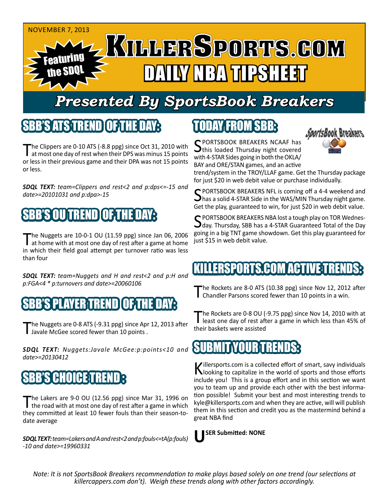

## *Presented By SportsBook Breakers*

#### SBB'S ATSTREND

The Clippers are 0-10 ATS (-8.8 ppg) since Oct 31, 2010 with<br>at most one day of rest when their DPS was minus 15 points or less in their previous game and their DPA was not 15 points or less.

*SDQL TEXT: team=Clippers and rest<2 and p:dps<=-15 and date>=20101031 and p:dpa>-15*

### S OUNTREND

The Nuggets are 10-0-1 OU (11.59 ppg) since Jan 06, 2006<br>at home with at most one day of rest after a game at home in which their field goal attempt per turnover ratio was less than four

*SDQL TEXT: team=Nuggets and H and rest<2 and p:H and p:FGA<4 \* p:turnovers and date>=20060106*

#### $\{ {\bf SBBS} \}$  player $_{\rm I}$ trend $\{ {\bf OF}_i {\bf T}$

The Nuggets are 0-8 ATS (-9.31 ppg) since Apr 12, 2013 after<br>I Javale McGee scored fewer than 10 points .

*SDQL TEXT: Nuggets:Javale McGee:p:points<10 and date>=20130412*

#### **BB'S CHOICE TRE**

The Lakers are 9-0 OU (12.56 ppg) since Mar 31, 1996 on the road with at most one day of rest after a game in which they committed at least 10 fewer fouls than their season-todate average

*SDQL TEXT: team=Lakers and A and rest<2 and p:fouls<=tA(p:fouls) -10 and date>=19960331*

## TODAY FROM SBB:



SPORTSBOOK BREAKERS NCAAF has<br>this loaded Thursday night covered with 4-STAR Sides going in both the OKLA/ BAY and ORE/STAN games, and an active

trend/system in the TROY/LLAF game. Get the Thursday package for just \$20 in web debit value or purchase individually.

SPORTSBOOK BREAKERS NFL is coming off a 4-4 weekend and<br>Shas a solid 4-STAR Side in the WAS/MIN Thursday night game. Get the play, guaranteed to win, for just \$20 in web debit value.

C PORTSBOOK BREAKERS NBA lost a tough play on TOR Wednes- $\Box$ day. Thursday, SBB has a 4-STAR Guaranteed Total of the Day going in a big TNT game showdown. Get this play guaranteed for just \$15 in web debit value.

#### ERSPORTS.COM ACTIVE T

The Rockets are 8-0 ATS (10.38 ppg) since Nov 12, 2012 after<br>
Chandler Parsons scored fewer than 10 points in a win.

The Rockets are 0-8 OU (-9.75 ppg) since Nov 14, 2010 with at least one day of rest after a game in which less than 45% of their baskets were assisted

#### SUBMIT YOUR TRENDS:

Killersports.com is a collected effort of smart, savy individuals<br>Nooking to capitalize in the world of sports and those efforts include you! This is a group effort and in this section we want you to team up and provide each other with the best information possible! Submit your best and most interesting trends to kyle@killersports.com and when they are active, will will publish them in this section and credit you as the mastermind behind a great NBA find



*Note: It is not SportsBook Breakers recommendation to make plays based solely on one trend (our selections at killercappers.com don't). Weigh these trends along with other factors accordingly.*